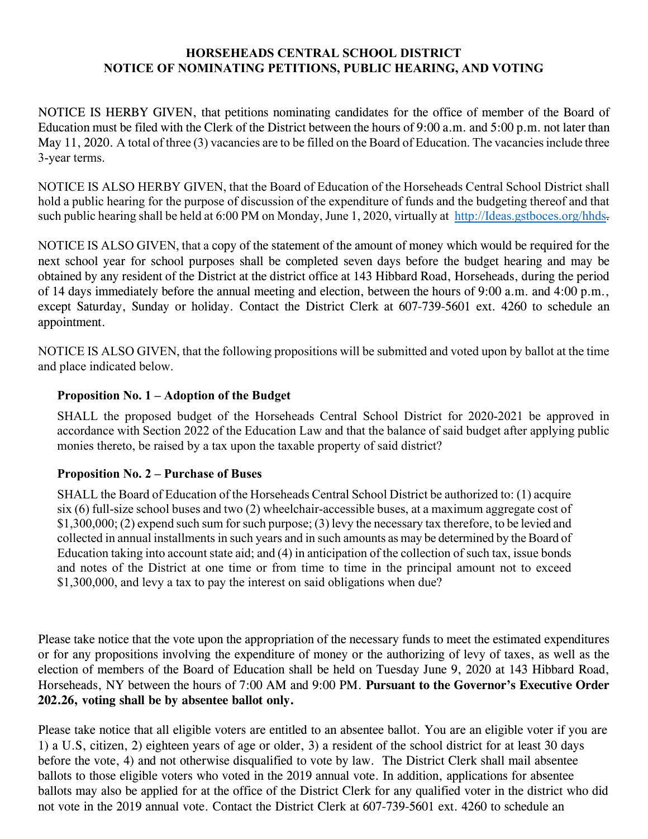## **HORSEHEADS CENTRAL SCHOOL DISTRICT NOTICE OF NOMINATING PETITIONS, PUBLIC HEARING, AND VOTING**

NOTICE IS HERBY GIVEN, that petitions nominating candidates for the office of member of the Board of Education must be filed with the Clerk of the District between the hours of 9:00 a.m. and 5:00 p.m. not later than May 11, 2020. A total of three (3) vacancies are to be filled on the Board of Education. The vacancies include three 3-year terms.

NOTICE IS ALSO HERBY GIVEN, that the Board of Education of the Horseheads Central School District shall hold a public hearing for the purpose of discussion of the expenditure of funds and the budgeting thereof and that such public hearing shall be held at 6:00 PM on Monday, June 1, 2020, virtually at [http://Ideas.gstboces.org/hhds.](http://ideas.gstboces.org/hhds)

NOTICE IS ALSO GIVEN, that a copy of the statement of the amount of money which would be required for the next school year for school purposes shall be completed seven days before the budget hearing and may be obtained by any resident of the District at the district office at 143 Hibbard Road, Horseheads, during the period of 14 days immediately before the annual meeting and election, between the hours of 9:00 a.m. and 4:00 p.m., except Saturday, Sunday or holiday. Contact the District Clerk at 607-739-5601 ext. 4260 to schedule an appointment.

NOTICE IS ALSO GIVEN, that the following propositions will be submitted and voted upon by ballot at the time and place indicated below.

## **Proposition No. 1 – Adoption of the Budget**

SHALL the proposed budget of the Horseheads Central School District for 2020-2021 be approved in accordance with Section 2022 of the Education Law and that the balance of said budget after applying public monies thereto, be raised by a tax upon the taxable property of said district?

## **Proposition No. 2 – Purchase of Buses**

SHALL the Board of Education of the Horseheads Central School District be authorized to: (1) acquire six (6) full-size school buses and two (2) wheelchair-accessible buses, at a maximum aggregate cost of \$1,300,000; (2) expend such sum for such purpose; (3) levy the necessary tax therefore, to be levied and collected in annual installments in such years and in such amounts as may be determined by the Board of Education taking into account state aid; and (4) in anticipation of the collection of such tax, issue bonds and notes of the District at one time or from time to time in the principal amount not to exceed \$1,300,000, and levy a tax to pay the interest on said obligations when due?

Please take notice that the vote upon the appropriation of the necessary funds to meet the estimated expenditures or for any propositions involving the expenditure of money or the authorizing of levy of taxes, as well as the election of members of the Board of Education shall be held on Tuesday June 9, 2020 at 143 Hibbard Road, Horseheads, NY between the hours of 7:00 AM and 9:00 PM. **Pursuant to the Governor's Executive Order 202.26, voting shall be by absentee ballot only.** 

Please take notice that all eligible voters are entitled to an absentee ballot. You are an eligible voter if you are 1) a U.S, citizen, 2) eighteen years of age or older, 3) a resident of the school district for at least 30 days before the vote, 4) and not otherwise disqualified to vote by law. The District Clerk shall mail absentee ballots to those eligible voters who voted in the 2019 annual vote. In addition, applications for absentee ballots may also be applied for at the office of the District Clerk for any qualified voter in the district who did not vote in the 2019 annual vote. Contact the District Clerk at 607-739-5601 ext. 4260 to schedule an